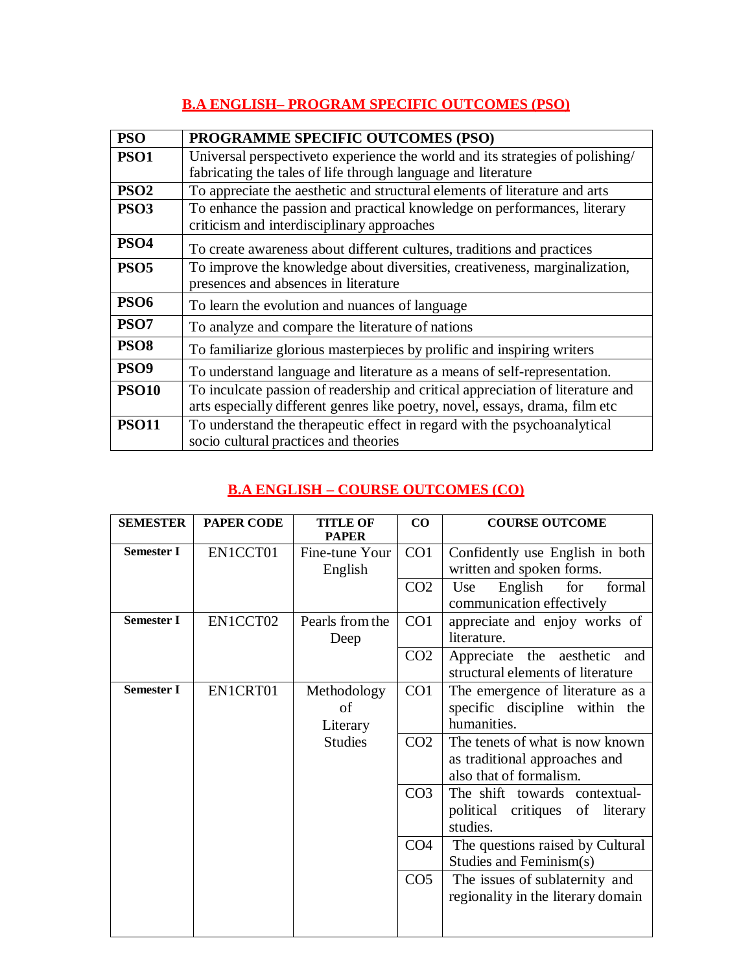## **B.A ENGLISH– PROGRAM SPECIFIC OUTCOMES (PSO)**

| <b>PSO</b>       | PROGRAMME SPECIFIC OUTCOMES (PSO)                                              |
|------------------|--------------------------------------------------------------------------------|
| <b>PSO1</b>      | Universal perspective to experience the world and its strategies of polishing/ |
|                  | fabricating the tales of life through language and literature                  |
| PSO <sub>2</sub> | To appreciate the aesthetic and structural elements of literature and arts     |
| PSO <sub>3</sub> | To enhance the passion and practical knowledge on performances, literary       |
|                  | criticism and interdisciplinary approaches                                     |
| PSO <sub>4</sub> | To create awareness about different cultures, traditions and practices         |
| <b>PSO5</b>      | To improve the knowledge about diversities, creativeness, marginalization,     |
|                  | presences and absences in literature                                           |
| <b>PSO6</b>      | To learn the evolution and nuances of language                                 |
| PSO <sub>7</sub> | To analyze and compare the literature of nations                               |
| PSO <sub>8</sub> | To familiarize glorious masterpieces by prolific and inspiring writers         |
| PSO <sub>9</sub> | To understand language and literature as a means of self-representation.       |
| <b>PSO10</b>     | To inculcate passion of readership and critical appreciation of literature and |
|                  | arts especially different genres like poetry, novel, essays, drama, film etc   |
| <b>PSO11</b>     | To understand the therapeutic effect in regard with the psychoanalytical       |
|                  | socio cultural practices and theories                                          |

## **B.A ENGLISH – COURSE OUTCOMES (CO)**

| <b>SEMESTER</b>   | <b>PAPER CODE</b> | <b>TITLE OF</b><br><b>PAPER</b> | CO              | <b>COURSE OUTCOME</b>                                                                       |
|-------------------|-------------------|---------------------------------|-----------------|---------------------------------------------------------------------------------------------|
| <b>Semester I</b> | EN1CCT01          | Fine-tune Your<br>English       | CO1             | Confidently use English in both<br>written and spoken forms.                                |
|                   |                   |                                 | CO <sub>2</sub> | English<br>for<br>formal<br>Use<br>communication effectively                                |
| <b>Semester I</b> | EN1CCT02          | Pearls from the<br>Deep         | CO <sub>1</sub> | appreciate and enjoy works of<br>literature.                                                |
|                   |                   |                                 | CO <sub>2</sub> | Appreciate the aesthetic<br>and<br>structural elements of literature                        |
| <b>Semester I</b> | EN1CRT01          | Methodology<br>of<br>Literary   | CO1             | The emergence of literature as a<br>specific discipline within the<br>humanities.           |
|                   |                   | <b>Studies</b>                  | CO <sub>2</sub> | The tenets of what is now known<br>as traditional approaches and<br>also that of formalism. |
|                   |                   |                                 | CO <sub>3</sub> | The shift towards contextual-<br>political critiques<br>of literary<br>studies.             |
|                   |                   |                                 | CO <sub>4</sub> | The questions raised by Cultural<br>Studies and Feminism(s)                                 |
|                   |                   |                                 | CO <sub>5</sub> | The issues of sublaternity and<br>regionality in the literary domain                        |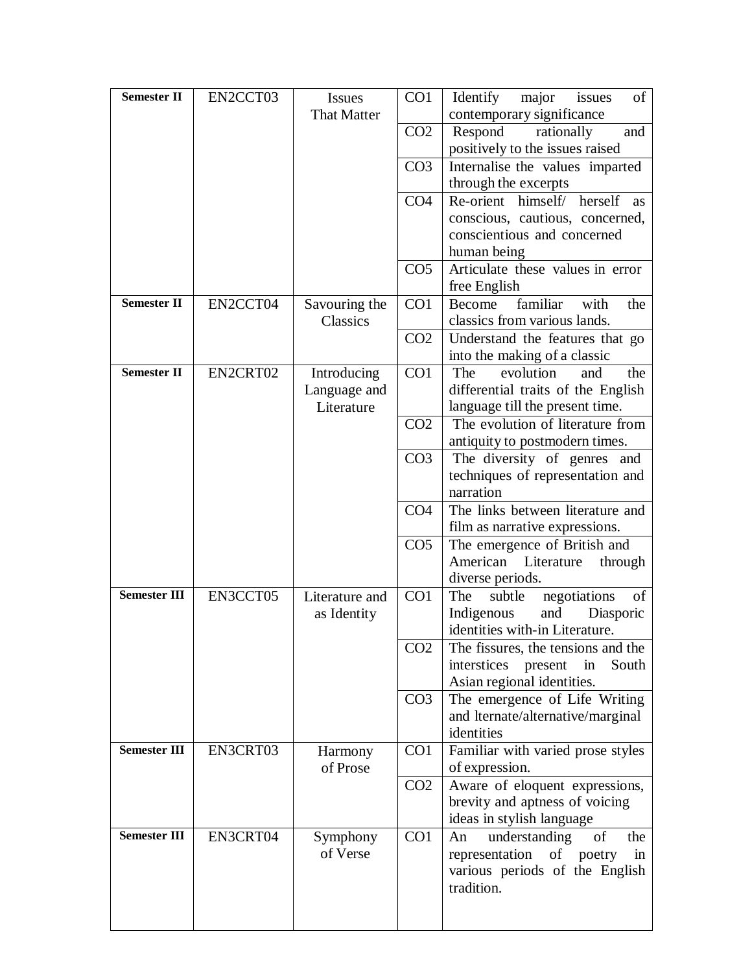| <b>Semester II</b>     | EN2CCT03 | <b>Issues</b>      | CO <sub>1</sub> | Identify<br>of<br>major<br>issues                       |
|------------------------|----------|--------------------|-----------------|---------------------------------------------------------|
|                        |          | <b>That Matter</b> |                 | contemporary significance                               |
|                        |          |                    | CO <sub>2</sub> | Respond<br>rationally<br>and                            |
|                        |          |                    |                 | positively to the issues raised                         |
|                        |          |                    | CO <sub>3</sub> | Internalise the values imparted                         |
|                        |          |                    |                 | through the excerpts                                    |
|                        |          |                    | CO <sub>4</sub> | Re-orient himself/<br>herself<br><b>as</b>              |
|                        |          |                    |                 | conscious, cautious, concerned,                         |
|                        |          |                    |                 | conscientious and concerned                             |
|                        |          |                    |                 | human being                                             |
|                        |          |                    | CO <sub>5</sub> | Articulate these values in error<br>free English        |
| Semester <sub>II</sub> | EN2CCT04 | Savouring the      | CO <sub>1</sub> | familiar<br>Become<br>with<br>the                       |
|                        |          | <b>Classics</b>    |                 | classics from various lands.                            |
|                        |          |                    | CO <sub>2</sub> | Understand the features that go                         |
|                        |          |                    |                 | into the making of a classic                            |
| <b>Semester II</b>     | EN2CRT02 | Introducing        | CO <sub>1</sub> | evolution<br>The<br>and<br>the                          |
|                        |          | Language and       |                 | differential traits of the English                      |
|                        |          | Literature         |                 | language till the present time.                         |
|                        |          |                    | CO <sub>2</sub> | The evolution of literature from                        |
|                        |          |                    |                 | antiquity to postmodern times.                          |
|                        |          |                    | CO <sub>3</sub> | The diversity of genres and                             |
|                        |          |                    |                 | techniques of representation and                        |
|                        |          |                    |                 | narration                                               |
|                        |          |                    | CO <sub>4</sub> | The links between literature and                        |
|                        |          |                    |                 | film as narrative expressions.                          |
|                        |          |                    | CO <sub>5</sub> | The emergence of British and                            |
|                        |          |                    |                 | American<br>Literature<br>through                       |
| <b>Semester III</b>    | EN3CCT05 | Literature and     | CO1             | diverse periods.<br>negotiations<br>of<br>The<br>subtle |
|                        |          | as Identity        |                 | Indigenous<br>and<br>Diasporic                          |
|                        |          |                    |                 | identities with-in Literature.                          |
|                        |          |                    | CO <sub>2</sub> | The fissures, the tensions and the                      |
|                        |          |                    |                 | interstices<br>present<br>in<br>South                   |
|                        |          |                    |                 | Asian regional identities.                              |
|                        |          |                    | CO <sub>3</sub> | The emergence of Life Writing                           |
|                        |          |                    |                 | and lternate/alternative/marginal                       |
|                        |          |                    |                 | identities                                              |
| <b>Semester III</b>    | EN3CRT03 | Harmony            | CO <sub>1</sub> | Familiar with varied prose styles                       |
|                        |          | of Prose           |                 | of expression.                                          |
|                        |          |                    | CO <sub>2</sub> | Aware of eloquent expressions,                          |
|                        |          |                    |                 | brevity and aptness of voicing                          |
|                        |          |                    |                 | ideas in stylish language                               |
| <b>Semester III</b>    | EN3CRT04 | Symphony           | CO <sub>1</sub> | understanding<br>of<br>the<br>An                        |
|                        |          | of Verse           |                 | representation<br>of poetry<br>in                       |
|                        |          |                    |                 | various periods of the English                          |
|                        |          |                    |                 | tradition.                                              |
|                        |          |                    |                 |                                                         |
|                        |          |                    |                 |                                                         |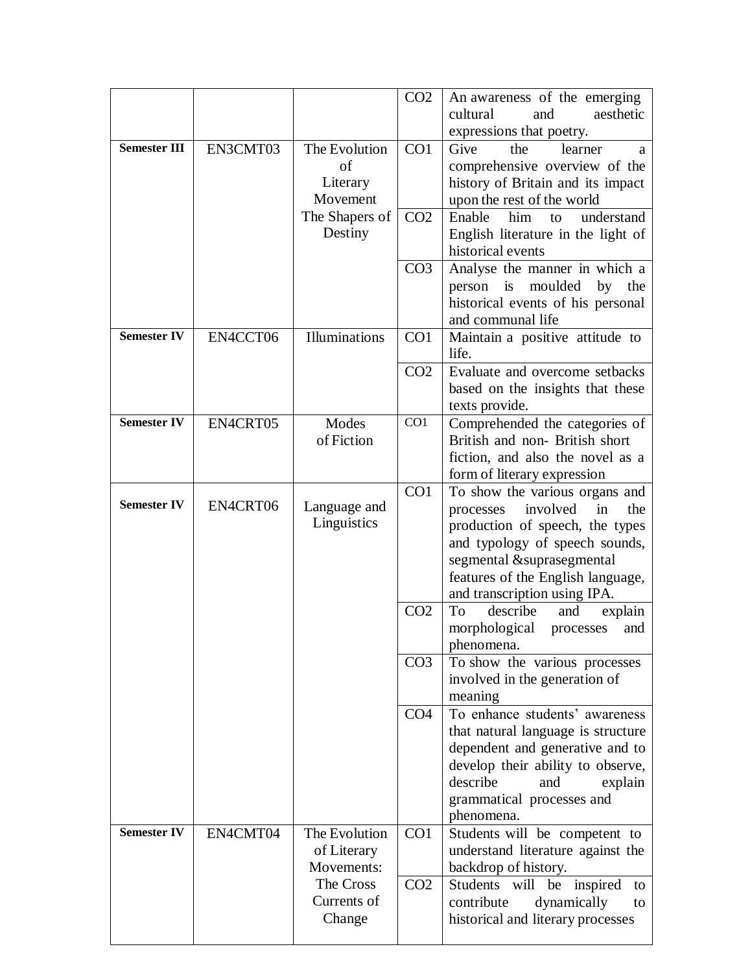|                     |          |                | CO <sub>2</sub> | An awareness of the emerging<br>aesthetic<br>cultural<br>and         |
|---------------------|----------|----------------|-----------------|----------------------------------------------------------------------|
|                     |          |                |                 | expressions that poetry.                                             |
| <b>Semester III</b> | EN3CMT03 | The Evolution  | CO1             | Give<br>the<br>learner<br>a                                          |
|                     |          | of             |                 | comprehensive overview of the                                        |
|                     |          | Literary       |                 | history of Britain and its impact                                    |
|                     |          | Movement       |                 | upon the rest of the world                                           |
|                     |          | The Shapers of | CO <sub>2</sub> | Enable<br>him<br>understand<br>to                                    |
|                     |          | Destiny        |                 | English literature in the light of                                   |
|                     |          |                |                 | historical events                                                    |
|                     |          |                | CO <sub>3</sub> | Analyse the manner in which a                                        |
|                     |          |                |                 | moulded<br>person is<br>by the                                       |
|                     |          |                |                 | historical events of his personal<br>and communal life               |
| <b>Semester IV</b>  | EN4CCT06 | Illuminations  | CO <sub>1</sub> | Maintain a positive attitude to                                      |
|                     |          |                |                 | life.                                                                |
|                     |          |                | CO <sub>2</sub> | Evaluate and overcome setbacks                                       |
|                     |          |                |                 | based on the insights that these                                     |
|                     |          |                |                 | texts provide.                                                       |
| <b>Semester IV</b>  | EN4CRT05 | Modes          | CO <sub>1</sub> | Comprehended the categories of                                       |
|                     |          | of Fiction     |                 | British and non-British short                                        |
|                     |          |                |                 | fiction, and also the novel as a                                     |
|                     |          |                | CO <sub>1</sub> | form of literary expression                                          |
| <b>Semester IV</b>  | EN4CRT06 | Language and   |                 | To show the various organs and<br>involved<br>in<br>the<br>processes |
|                     |          | Linguistics    |                 | production of speech, the types                                      |
|                     |          |                |                 | and typology of speech sounds,                                       |
|                     |          |                |                 | segmental &suprasegmental                                            |
|                     |          |                |                 | features of the English language,                                    |
|                     |          |                |                 | and transcription using IPA.                                         |
|                     |          |                | CO <sub>2</sub> | describe<br>To<br>explain<br>and                                     |
|                     |          |                |                 | morphological<br>processes<br>and                                    |
|                     |          |                | CO <sub>3</sub> | phenomena.                                                           |
|                     |          |                |                 | To show the various processes<br>involved in the generation of       |
|                     |          |                |                 | meaning                                                              |
|                     |          |                | CO <sub>4</sub> | To enhance students' awareness                                       |
|                     |          |                |                 | that natural language is structure                                   |
|                     |          |                |                 | dependent and generative and to                                      |
|                     |          |                |                 | develop their ability to observe,                                    |
|                     |          |                |                 | describe<br>and<br>explain                                           |
|                     |          |                |                 | grammatical processes and                                            |
| <b>Semester IV</b>  | EN4CMT04 | The Evolution  | CO <sub>1</sub> | phenomena.<br>Students will be competent to                          |
|                     |          | of Literary    |                 | understand literature against the                                    |
|                     |          | Movements:     |                 | backdrop of history.                                                 |
|                     |          | The Cross      | CO <sub>2</sub> | Students will be inspired<br>to                                      |
|                     |          | Currents of    |                 | contribute<br>dynamically<br>to                                      |
|                     |          | Change         |                 | historical and literary processes                                    |
|                     |          |                |                 |                                                                      |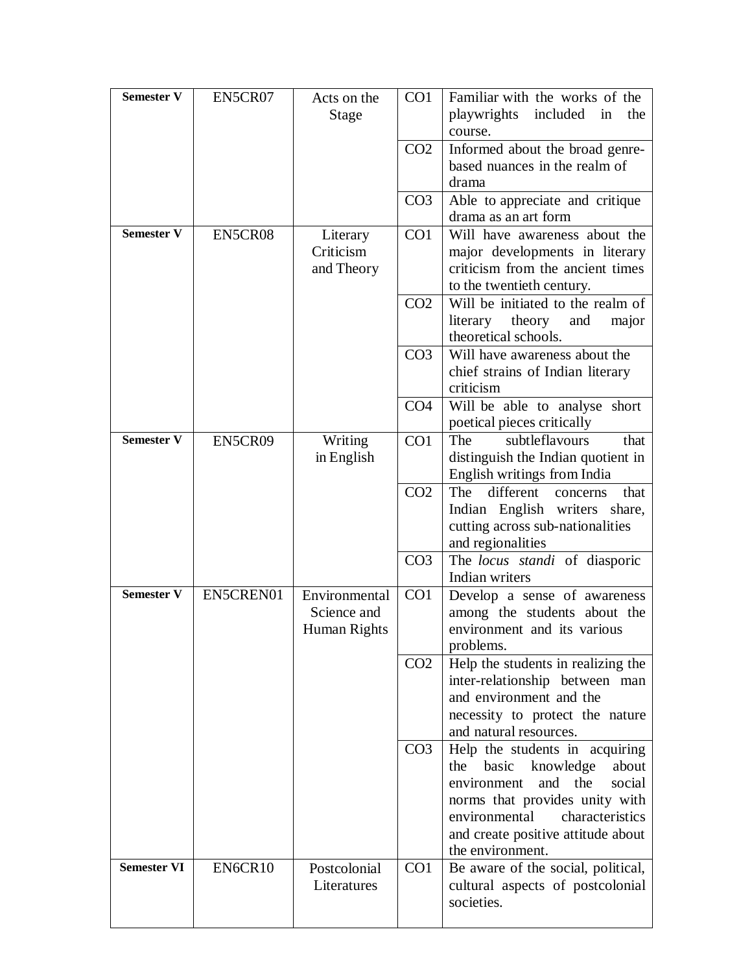| <b>Semester V</b>  | EN5CR07   | Acts on the           | CO <sub>1</sub> | Familiar with the works of the                              |
|--------------------|-----------|-----------------------|-----------------|-------------------------------------------------------------|
|                    |           | Stage                 |                 | playwrights<br>included<br>in<br>the                        |
|                    |           |                       |                 | course.                                                     |
|                    |           |                       | CO <sub>2</sub> | Informed about the broad genre-                             |
|                    |           |                       |                 | based nuances in the realm of                               |
|                    |           |                       |                 | drama                                                       |
|                    |           |                       | CO <sub>3</sub> | Able to appreciate and critique                             |
|                    |           |                       |                 | drama as an art form                                        |
| <b>Semester V</b>  | EN5CR08   | Literary              | CO <sub>1</sub> | Will have awareness about the                               |
|                    |           | Criticism             |                 | major developments in literary                              |
|                    |           | and Theory            |                 | criticism from the ancient times                            |
|                    |           |                       |                 | to the twentieth century.                                   |
|                    |           |                       | CO <sub>2</sub> | Will be initiated to the realm of                           |
|                    |           |                       |                 | literary<br>theory<br>and<br>major                          |
|                    |           |                       |                 | theoretical schools.                                        |
|                    |           |                       | CO <sub>3</sub> | Will have awareness about the                               |
|                    |           |                       |                 | chief strains of Indian literary                            |
|                    |           |                       |                 | criticism                                                   |
|                    |           |                       | CO <sub>4</sub> | Will be able to analyse short                               |
| <b>Semester V</b>  | EN5CR09   |                       | CO1             | poetical pieces critically<br>subtleflavours<br>The<br>that |
|                    |           | Writing<br>in English |                 | distinguish the Indian quotient in                          |
|                    |           |                       |                 | English writings from India                                 |
|                    |           |                       | CO <sub>2</sub> | The<br>different<br>that<br>concerns                        |
|                    |           |                       |                 | Indian English writers share,                               |
|                    |           |                       |                 | cutting across sub-nationalities                            |
|                    |           |                       |                 | and regionalities                                           |
|                    |           |                       | CO <sub>3</sub> | The <i>locus standi</i> of diasporic                        |
|                    |           |                       |                 | Indian writers                                              |
| <b>Semester V</b>  | EN5CREN01 | Environmental         | CO <sub>1</sub> | Develop a sense of awareness                                |
|                    |           | Science and           |                 | among the students about the                                |
|                    |           | Human Rights          |                 | environment and its various                                 |
|                    |           |                       |                 | problems.                                                   |
|                    |           |                       | CO <sub>2</sub> | Help the students in realizing the                          |
|                    |           |                       |                 | inter-relationship between man                              |
|                    |           |                       |                 | and environment and the                                     |
|                    |           |                       |                 | necessity to protect the nature                             |
|                    |           |                       |                 | and natural resources.                                      |
|                    |           |                       | CO <sub>3</sub> | Help the students in acquiring                              |
|                    |           |                       |                 | basic knowledge<br>the<br>about                             |
|                    |           |                       |                 | and the<br>social<br>environment                            |
|                    |           |                       |                 | norms that provides unity with                              |
|                    |           |                       |                 | characteristics<br>environmental                            |
|                    |           |                       |                 | and create positive attitude about                          |
|                    |           |                       |                 | the environment.                                            |
| <b>Semester VI</b> | EN6CR10   | Postcolonial          | CO <sub>1</sub> | Be aware of the social, political,                          |
|                    |           | Literatures           |                 | cultural aspects of postcolonial                            |
|                    |           |                       |                 | societies.                                                  |
|                    |           |                       |                 |                                                             |